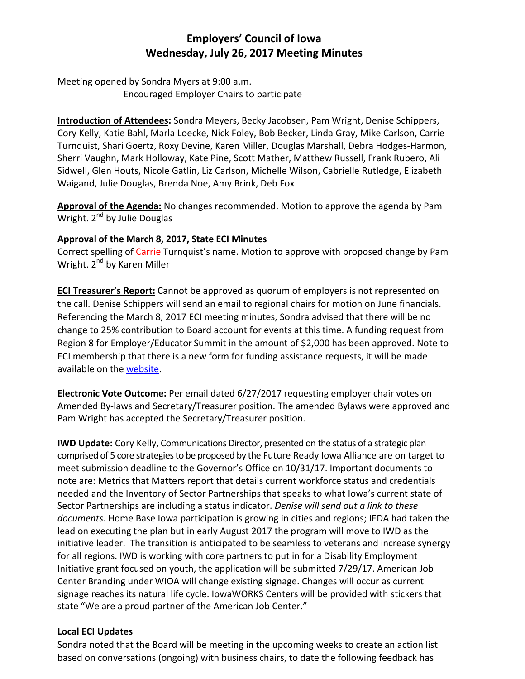### **Employers' Council of Iowa Wednesday, July 26, 2017 Meeting Minutes**

Meeting opened by Sondra Myers at 9:00 a.m. Encouraged Employer Chairs to participate

**Introduction of Attendees:** Sondra Meyers, Becky Jacobsen, Pam Wright, Denise Schippers, Cory Kelly, Katie Bahl, Marla Loecke, Nick Foley, Bob Becker, Linda Gray, Mike Carlson, Carrie Turnquist, Shari Goertz, Roxy Devine, Karen Miller, Douglas Marshall, Debra Hodges-Harmon, Sherri Vaughn, Mark Holloway, Kate Pine, Scott Mather, Matthew Russell, Frank Rubero, Ali Sidwell, Glen Houts, Nicole Gatlin, Liz Carlson, Michelle Wilson, Cabrielle Rutledge, Elizabeth Waigand, Julie Douglas, Brenda Noe, Amy Brink, Deb Fox

**Approval of the Agenda:** No changes recommended. Motion to approve the agenda by Pam Wright. 2<sup>nd</sup> by Julie Douglas

#### **Approval of the March 8, 2017, State ECI Minutes**

Correct spelling of Carrie Turnquist's name. Motion to approve with proposed change by Pam Wright. 2<sup>nd</sup> by Karen Miller

**ECI Treasurer's Report:** Cannot be approved as quorum of employers is not represented on the call. Denise Schippers will send an email to regional chairs for motion on June financials. Referencing the March 8, 2017 ECI meeting minutes, Sondra advised that there will be no change to 25% contribution to Board account for events at this time. A funding request from Region 8 for Employer/Educator Summit in the amount of \$2,000 has been approved. Note to ECI membership that there is a new form for funding assistance requests, it will be made available on the [website.](https://www.iowaworkforcedevelopment.gov/employers-council-iowa)

**Electronic Vote Outcome:** Per email dated 6/27/2017 requesting employer chair votes on Amended By-laws and Secretary/Treasurer position. The amended Bylaws were approved and Pam Wright has accepted the Secretary/Treasurer position.

**IWD Update:** Cory Kelly, Communications Director, presented on the status of a strategic plan comprised of 5 core strategies to be proposed by the Future Ready Iowa Alliance are on target to meet submission deadline to the Governor's Office on 10/31/17. Important documents to note are: Metrics that Matters report that details current workforce status and credentials needed and the Inventory of Sector Partnerships that speaks to what Iowa's current state of Sector Partnerships are including a status indicator. *Denise will send out a link to these documents.* Home Base Iowa participation is growing in cities and regions; IEDA had taken the lead on executing the plan but in early August 2017 the program will move to IWD as the initiative leader. The transition is anticipated to be seamless to veterans and increase synergy for all regions. IWD is working with core partners to put in for a Disability Employment Initiative grant focused on youth, the application will be submitted 7/29/17. American Job Center Branding under WIOA will change existing signage. Changes will occur as current signage reaches its natural life cycle. IowaWORKS Centers will be provided with stickers that state "We are a proud partner of the American Job Center."

#### **Local ECI Updates**

Sondra noted that the Board will be meeting in the upcoming weeks to create an action list based on conversations (ongoing) with business chairs, to date the following feedback has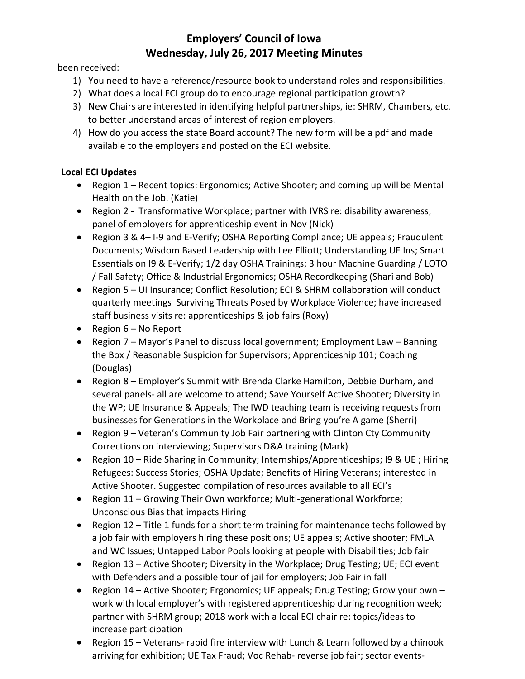## **Employers' Council of Iowa Wednesday, July 26, 2017 Meeting Minutes**

been received:

- 1) You need to have a reference/resource book to understand roles and responsibilities.
- 2) What does a local ECI group do to encourage regional participation growth?
- 3) New Chairs are interested in identifying helpful partnerships, ie: SHRM, Chambers, etc. to better understand areas of interest of region employers.
- 4) How do you access the state Board account? The new form will be a pdf and made available to the employers and posted on the ECI website.

### **Local ECI Updates**

- Region 1 Recent topics: Ergonomics; Active Shooter; and coming up will be Mental Health on the Job. (Katie)
- Region 2 Transformative Workplace; partner with IVRS re: disability awareness; panel of employers for apprenticeship event in Nov (Nick)
- Region 3 & 4– I-9 and E-Verify; OSHA Reporting Compliance; UE appeals; Fraudulent Documents; Wisdom Based Leadership with Lee Elliott; Understanding UE Ins; Smart Essentials on I9 & E-Verify; 1/2 day OSHA Trainings; 3 hour Machine Guarding / LOTO / Fall Safety; Office & Industrial Ergonomics; OSHA Recordkeeping (Shari and Bob)
- Region 5 UI Insurance; Conflict Resolution; ECI & SHRM collaboration will conduct quarterly meetings Surviving Threats Posed by Workplace Violence; have increased staff business visits re: apprenticeships & job fairs (Roxy)
- Region 6 No Report
- Region 7 Mayor's Panel to discuss local government; Employment Law Banning the Box / Reasonable Suspicion for Supervisors; Apprenticeship 101; Coaching (Douglas)
- Region 8 Employer's Summit with Brenda Clarke Hamilton, Debbie Durham, and several panels- all are welcome to attend; Save Yourself Active Shooter; Diversity in the WP; UE Insurance & Appeals; The IWD teaching team is receiving requests from businesses for Generations in the Workplace and Bring you're A game (Sherri)
- Region 9 Veteran's Community Job Fair partnering with Clinton Cty Community Corrections on interviewing; Supervisors D&A training (Mark)
- Region 10 Ride Sharing in Community; Internships/Apprenticeships; I9 & UE ; Hiring Refugees: Success Stories; OSHA Update; Benefits of Hiring Veterans; interested in Active Shooter. Suggested compilation of resources available to all ECI's
- Region 11 Growing Their Own workforce; Multi-generational Workforce; Unconscious Bias that impacts Hiring
- Region 12 Title 1 funds for a short term training for maintenance techs followed by a job fair with employers hiring these positions; UE appeals; Active shooter; FMLA and WC Issues; Untapped Labor Pools looking at people with Disabilities; Job fair
- Region 13 Active Shooter; Diversity in the Workplace; Drug Testing; UE; ECI event with Defenders and a possible tour of jail for employers; Job Fair in fall
- Region 14 Active Shooter; Ergonomics; UE appeals; Drug Testing; Grow your own work with local employer's with registered apprenticeship during recognition week; partner with SHRM group; 2018 work with a local ECI chair re: topics/ideas to increase participation
- Region 15 Veterans- rapid fire interview with Lunch & Learn followed by a chinook arriving for exhibition; UE Tax Fraud; Voc Rehab- reverse job fair; sector events-